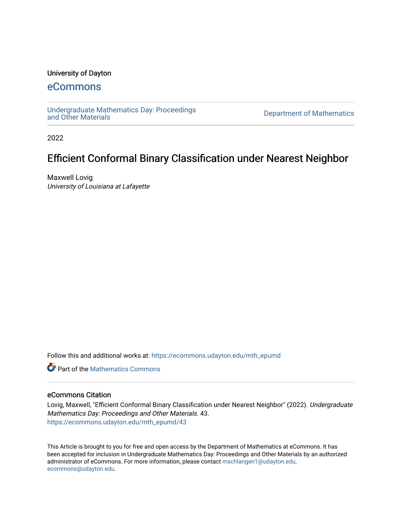## University of Dayton

## [eCommons](https://ecommons.udayton.edu/)

[Undergraduate Mathematics Day: Proceedings](https://ecommons.udayton.edu/mth_epumd) 

Department of Mathematics

2022

# Efficient Conformal Binary Classification under Nearest Neighbor

Maxwell Lovig University of Louisiana at Lafayette

Follow this and additional works at: [https://ecommons.udayton.edu/mth\\_epumd](https://ecommons.udayton.edu/mth_epumd?utm_source=ecommons.udayton.edu%2Fmth_epumd%2F43&utm_medium=PDF&utm_campaign=PDFCoverPages) 

**C** Part of the [Mathematics Commons](http://network.bepress.com/hgg/discipline/174?utm_source=ecommons.udayton.edu%2Fmth_epumd%2F43&utm_medium=PDF&utm_campaign=PDFCoverPages)

## eCommons Citation

Lovig, Maxwell, "Efficient Conformal Binary Classification under Nearest Neighbor" (2022). Undergraduate Mathematics Day: Proceedings and Other Materials. 43. [https://ecommons.udayton.edu/mth\\_epumd/43](https://ecommons.udayton.edu/mth_epumd/43?utm_source=ecommons.udayton.edu%2Fmth_epumd%2F43&utm_medium=PDF&utm_campaign=PDFCoverPages)

This Article is brought to you for free and open access by the Department of Mathematics at eCommons. It has been accepted for inclusion in Undergraduate Mathematics Day: Proceedings and Other Materials by an authorized administrator of eCommons. For more information, please contact [mschlangen1@udayton.edu,](mailto:mschlangen1@udayton.edu,%20ecommons@udayton.edu) [ecommons@udayton.edu](mailto:mschlangen1@udayton.edu,%20ecommons@udayton.edu).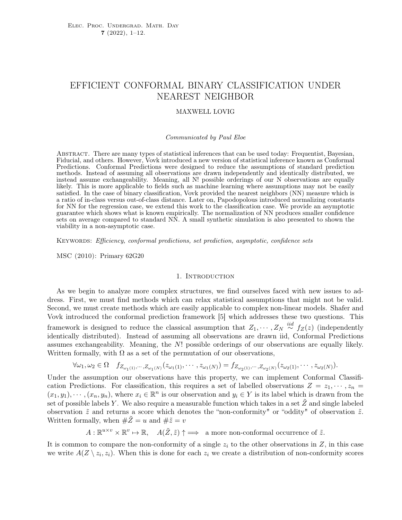## EFFICIENT CONFORMAL BINARY CLASSIFICATION UNDER NEAREST NEIGHBOR

#### MAXWELL LOVIG

#### Communicated by Paul Eloe

Abstract. There are many types of statistical inferences that can be used today: Frequentist, Bayesian, Fiducial, and others. However, Vovk introduced a new version of statistical inference known as Conformal Predictions. Conformal Predictions were designed to reduce the assumptions of standard prediction methods. Instead of assuming all observations are drawn independently and identically distributed, we instead assume exchangeability. Meaning, all N! possible orderings of our N observations are equally likely. This is more applicable to fields such as machine learning where assumptions may not be easily satisfied. In the case of binary classification, Vovk provided the nearest neighbors (NN) measure which is a ratio of in-class versus out-of-class distance. Later on, Papodopolous introduced normalizing constants for NN for the regression case, we extend this work to the classification case. We provide an asymptotic guarantee which shows what is known empirically. The normalization of NN produces smaller confidence sets on average compared to standard NN. A small synthetic simulation is also presented to shown the viability in a non-asymptotic case.

KEYWORDS: Efficiency, conformal predictions, set prediction, asymptotic, confidence sets

MSC (2010): Primary 62G20

#### 1. INTRODUCTION

As we begin to analyze more complex structures, we find ourselves faced with new issues to address. First, we must find methods which can relax statistical assumptions that might not be valid. Second, we must create methods which are easily applicable to complex non-linear models. Shafer and Vovk introduced the conformal prediction framework [5] which addresses these two questions. This framework is designed to reduce the classical assumption that  $Z_1, \cdots, Z_N \stackrel{iid}{\sim} f_Z(z)$  (independently identically distributed). Instead of assuming all observations are drawn iid, Conformal Predictions assumes exchangeability. Meaning, the N! possible orderings of our observations are equally likely. Written formally, with  $\Omega$  as a set of the permutation of our observations,

$$
\forall \omega_1, \omega_2 \in \Omega \quad f_{Z_{\omega_1(1)},\dots, Z_{\omega_1(N)}}(z_{\omega_1(1)},\dots, z_{\omega_1(N)}) = f_{Z_{\omega_2(1)},\dots, Z_{\omega_2(N)}}(z_{\omega_2(1)},\dots, z_{\omega_2(N)}).
$$

Under the assumption our observations have this property, we can implement Conformal Classification Predictions. For classification, this requires a set of labelled observations  $Z = z_1, \dots, z_n =$  $(x_1, y_1), \dots, (x_n, y_n)$ , where  $x_i \in \mathbb{R}^n$  is our observation and  $y_i \in Y$  is its label which is drawn from the set of possible labels Y. We also require a measurable function which takes in a set  $\tilde{Z}$  and single labeled observation  $\tilde{z}$  and returns a score which denotes the "non-conformity" or "oddity" of observation  $\tilde{z}$ . Written formally, when  $\#\tilde{Z} = u$  and  $\#\tilde{z} = v$ 

$$
A: \mathbb{R}^{u \times v} \times \mathbb{R}^v \mapsto \mathbb{R}, \quad A(\tilde{Z}, \tilde{z}) \uparrow \implies \text{ a more non-conformal occurrence of } \tilde{z}.
$$

It is common to compare the non-conformity of a single  $z<sub>i</sub>$  to the other observations in Z, in this case we write  $A(Z \setminus z_i, z_i)$ . When this is done for each  $z_i$  we create a distribution of non-conformity scores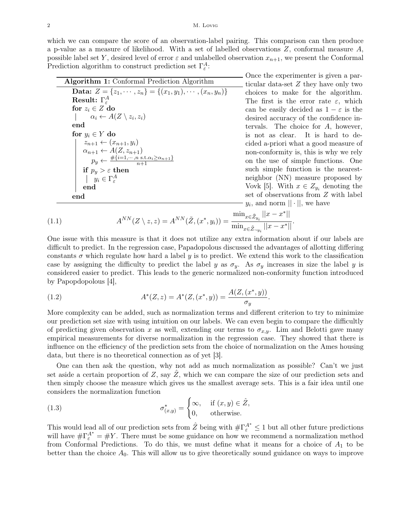which we can compare the score of an observation-label pairing. This comparison can then produce a p-value as a measure of likelihood. With a set of labelled observations  $Z$ , conformal measure  $A$ , possible label set Y, desired level of error  $\varepsilon$  and unlabelled observation  $x_{n+1}$ , we present the Conformal Prediction algorithm to construct prediction set  $\Gamma_{\varepsilon}^A$ .

| <b>Algorithm 1:</b> Conformal Prediction Algorithm                                                 |
|----------------------------------------------------------------------------------------------------|
| <b>Data:</b> $Z = \{z_1, \dots, z_n\} = \{(x_1, y_1), \dots, (x_n, y_n)\}\$                        |
| Result: $\Gamma_{\varepsilon}^A$                                                                   |
| for $z_i \in Z$ do                                                                                 |
| $\alpha_i \leftarrow A(Z \setminus z_i, z_i)$                                                      |
| end                                                                                                |
| for $y_i \in Y$ do                                                                                 |
| $z_{n+1} \leftarrow (x_{n+1}, y_i)$<br>$\alpha_{n+1} \leftarrow A(Z, z_{n+1})$                     |
|                                                                                                    |
| $p_y \leftarrow \frac{\#\{i=1,\dots,n \text{ s.t. } \alpha_i \geq \alpha_{n+1}\}}{n+1}$            |
|                                                                                                    |
| $\quad \text{if} \ \ p_y > \varepsilon \ \text{then} \ \   \ \ \ y_i \in \Gamma_{\varepsilon}^{A}$ |
| end                                                                                                |
| end                                                                                                |

Once the experimenter is given a particular data-set  $Z$  they have only two choices to make for the algorithm. The first is the error rate  $\varepsilon$ , which can be easily decided as  $1 - \varepsilon$  is the desired accuracy of the confidence intervals. The choice for A, however, is not as clear. It is hard to decided a-priori what a good measure of non-conformity is, this is why we rely on the use of simple functions. One such simple function is the nearestneighbor (NN) measure proposed by Vovk [5]. With  $x \in Z_{y_i}$  denoting the set of observations from Z with label  $y_i$ , and norm  $|| \cdot ||$ , we have

(1.1) 
$$
A^{NN}(Z \setminus z, z) = A^{NN}(\tilde{Z}, (x^*, y_i)) = \frac{\min_{x \in \tilde{Z}_{y_i}} ||x - x^*||}{\min_{x \in \tilde{Z}_{\neg y_i}} ||x - x^*||}.
$$

One issue with this measure is that it does not utilize any extra information about if our labels are difficult to predict. In the regression case, Papadopolous discussed the advantages of allotting differing constants  $\sigma$  which regulate how hard a label y is to predict. We extend this work to the classification case by assigning the difficulty to predict the label y as  $\sigma_y$ . As  $\sigma_y$  increases in size the label y is considered easier to predict. This leads to the generic normalized non-conformity function introduced by Papopdopolous [4],

(1.2) 
$$
A^*(Z, z) = A^*(Z, (x^*, y)) = \frac{A(Z, (x^*, y))}{\sigma_y}.
$$

More complexity can be added, such as normalization terms and different criterion to try to minimize our prediction set size with using intuition on our labels. We can even begin to compare the difficultly of predicting given observation x as well, extending our terms to  $\sigma_{x,y}$ . Lim and Belotti gave many empirical measurements for diverse normalization in the regression case. They showed that there is influence on the efficiency of the prediction sets from the choice of normalization on the Ames housing data, but there is no theoretical connection as of yet [3].

One can then ask the question, why not add as much normalization as possible? Can't we just set aside a certain proportion of  $Z$ , say  $\tilde{Z}$ , which we can compare the size of our prediction sets and then simply choose the measure which gives us the smallest average sets. This is a fair idea until one considers the normalization function

(1.3) 
$$
\sigma_{(x,y)}^* = \begin{cases} \infty, & \text{if } (x,y) \in \hat{Z}, \\ 0, & \text{otherwise.} \end{cases}
$$

This would lead all of our prediction sets from  $\hat{Z}$  being with  $\#\Gamma_{\varepsilon}^{A^*} \leq 1$  but all other future predictions will have  $\#\Gamma_{\varepsilon}^{A^*} = \#Y$ . There must be some guidance on how we recommend a normalization method from Conformal Predictions. To do this, we must define what it means for a choice of  $A_1$  to be better than the choice  $A_0$ . This will allow us to give theoretically sound guidance on ways to improve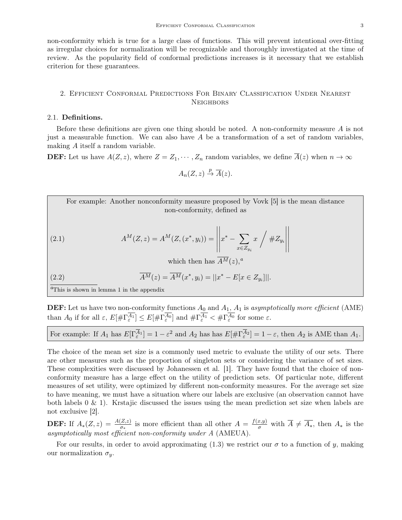non-conformity which is true for a large class of functions. This will prevent intentional over-fitting as irregular choices for normalization will be recognizable and thoroughly investigated at the time of review. As the popularity field of conformal predictions increases is it necessary that we establish criterion for these guarantees.

### 2. Efficient Conformal Predictions For Binary Classification Under Nearest **NEIGHBORS**

#### 2.1. Definitions.

Before these definitions are given one thing should be noted. A non-conformity measure  $A$  is not just a measurable function. We can also have  $A$  be a transformation of a set of random variables, making A itself a random variable.

**DEF:** Let us have  $A(Z, z)$ , where  $Z = Z_1, \dots, Z_n$  random variables, we define  $\overline{A}(z)$  when  $n \to \infty$ 

$$
A_n(Z, z) \stackrel{p}{\to} \overline{A}(z).
$$

For example: Another nonconformity measure proposed by Vovk [5] is the mean distance non-conformity, defined as

(2.1) 
$$
A^{M}(Z, z) = A^{M}(Z, (x^{*}, y_{i})) = \left\| x^{*} - \sum_{x \in Z_{y_{i}}} x \Big/ \# Z_{y_{i}} \right\|
$$

which then has  $\overline{A^M}(z)$ ,<sup>*a*</sup>

(2.2) 
$$
\overline{A^M}(z) = \overline{A^M}(x^*, y_i) = ||x^* - E[x \in Z_{y_i}]||.
$$

<sup> $a$ </sup>This is shown in lemma 1 in the appendix

**DEF:** Let us have two non-conformity functions  $A_0$  and  $A_1$ ,  $A_1$  is asymptotically more efficient (AME) than  $A_0$  if for all  $\varepsilon$ ,  $E[\#\Gamma_{\varepsilon}^{A_1}] \leq E[\#\Gamma_{\varepsilon}^{A_0}]$  and  $\#\Gamma_{\varepsilon}^{A_1} < \#\Gamma_{\varepsilon}^{A_0}$  for some  $\varepsilon$ .

| For example: If $A_1$ has $E[\Gamma_{\varepsilon}^{\overline{A}_1}] = 1 - \varepsilon^2$ and $A_2$ has has $E[\# \Gamma_{\varepsilon}^{\overline{A}_2}] = 1 - \varepsilon$ , then $A_2$ is AME than $A_1$ . |  |  |
|-------------------------------------------------------------------------------------------------------------------------------------------------------------------------------------------------------------|--|--|
|-------------------------------------------------------------------------------------------------------------------------------------------------------------------------------------------------------------|--|--|

The choice of the mean set size is a commonly used metric to evaluate the utility of our sets. There are other measures such as the proportion of singleton sets or considering the variance of set sizes. These complexities were discussed by Johanessen et al. [1]. They have found that the choice of nonconformity measure has a large effect on the utility of prediction sets. Of particular note, different measures of set utility, were optimized by different non-conformity measures. For the average set size to have meaning, we must have a situation where our labels are exclusive (an observation cannot have both labels  $0 \& 1$ ). Krstajic discussed the issues using the mean prediction set size when labels are not exclusive [2].

**DEF:** If  $A_*(Z, z) = \frac{A(Z, z)}{\sigma_*}$  is more efficient than all other  $A = \frac{f(x, y)}{\sigma}$  with  $\overline{A} \neq \overline{A_*}$ , then  $A_*$  is the asymptotically most efficient non-conformity under A (AMEUA).

For our results, in order to avoid approximating (1.3) we restrict our  $\sigma$  to a function of y, making our normalization  $\sigma_y$ .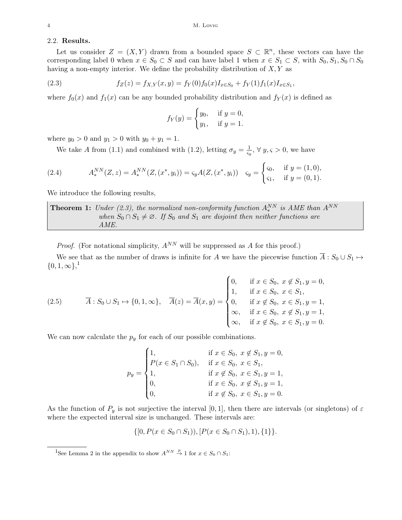### 2.2. Results.

Let us consider  $Z = (X, Y)$  drawn from a bounded space  $S \subset \mathbb{R}^n$ , these vectors can have the corresponding label 0 when  $x \in S_0 \subset S$  and can have label 1 when  $x \in S_1 \subset S$ , with  $S_0, S_1, S_0 \cap S_0$ having a non-empty interior. We define the probability distribution of  $X, Y$  as

(2.3) 
$$
f_Z(z) = f_{X,Y}(x,y) = f_Y(0)f_0(x)I_{x \in S_0} + f_Y(1)f_1(x)I_{x \in S_1},
$$

where  $f_0(x)$  and  $f_1(x)$  can be any bounded probability distribution and  $f_Y(x)$  is defined as

$$
f_Y(y) = \begin{cases} y_0, & \text{if } y = 0, \\ y_1, & \text{if } y = 1. \end{cases}
$$

where  $y_0 > 0$  and  $y_1 > 0$  with  $y_0 + y_1 = 1$ .

We take A from (1.1) and combined with (1.2), letting  $\sigma_y = \frac{1}{5}$  $\frac{1}{\varsigma_y}$ ,  $\forall y, \varsigma > 0$ , we have

(2.4) 
$$
A_*^{NN}(Z, z) = A_*^{NN}(Z, (x^*, y_i)) = \varsigma_y A(Z, (x^*, y_i)) \quad \varsigma_y = \begin{cases} \varsigma_0, & \text{if } y = (1, 0), \\ \varsigma_1, & \text{if } y = (0, 1). \end{cases}
$$

We introduce the following results,

**Theorem 1:** Under (2.3), the normalized non-conformity function  $A_*^{NN}$  is AME than  $A^{NN}$ when  $S_0 \cap S_1 \neq \emptyset$ . If  $S_0$  and  $S_1$  are disjoint then neither functions are AME.

*Proof.* (For notational simplicity,  $A^{NN}$  will be suppressed as A for this proof.)

We see that as the number of draws is infinite for A we have the piecewise function  $\overline{A}: S_0 \cup S_1 \mapsto$  $\{0, 1, \infty\}$ <sup>1</sup>

(2.5) 
$$
\overline{A}: S_0 \cup S_1 \mapsto \{0, 1, \infty\}, \quad \overline{A}(z) = \overline{A}(x, y) = \begin{cases} 0, & \text{if } x \in S_0, x \notin S_1, y = 0, \\ 1, & \text{if } x \in S_0, x \in S_1, \\ 0, & \text{if } x \notin S_0, x \in S_1, y = 1, \\ \infty, & \text{if } x \in S_0, x \notin S_1, y = 1, \\ \infty, & \text{if } x \notin S_0, x \in S_1, y = 0. \end{cases}
$$

We can now calculate the  $p_y$  for each of our possible combinations.

$$
p_y = \begin{cases} 1, & \text{if } x \in S_0, \ x \notin S_1, y = 0, \\ P(x \in S_1 \cap S_0), & \text{if } x \in S_0, \ x \in S_1, \\ 1, & \text{if } x \notin S_0, \ x \in S_1, y = 1, \\ 0, & \text{if } x \in S_0, \ x \notin S_1, y = 1, \\ 0, & \text{if } x \notin S_0, \ x \in S_1, y = 0. \end{cases}
$$

As the function of  $P_y$  is not surjective the interval [0, 1], then there are intervals (or singletons) of  $\varepsilon$ where the expected interval size is unchanged. These intervals are:

$$
\{ [0, P(x \in S_0 \cap S_1)), [P(x \in S_0 \cap S_1), 1), \{1\} \}.
$$

<sup>1</sup>See Lemma 2 in the appendix to show  $A^{NN} \stackrel{p}{\to} 1$  for  $x \in S_0 \cap S_1$ :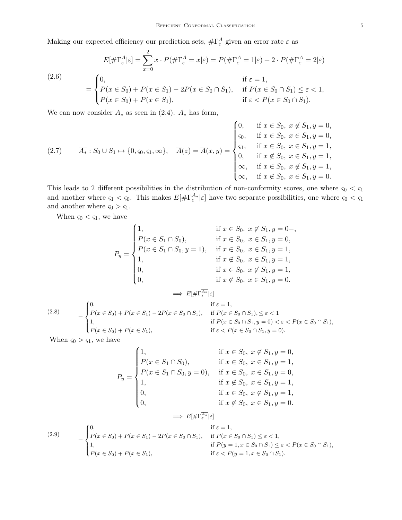Making our expected efficiency our prediction sets,  $\#\Gamma^{A}_{\varepsilon}$  given an error rate  $\varepsilon$  as

(2.6)  
\n
$$
E[\#\Gamma_{\varepsilon}^{\overline{A}}|\varepsilon] = \sum_{x=0}^{2} x \cdot P(\#\Gamma_{\varepsilon}^{\overline{A}} = x|\varepsilon) = P(\#\Gamma_{\varepsilon}^{\overline{A}} = 1|\varepsilon) + 2 \cdot P(\#\Gamma_{\varepsilon}^{\overline{A}} = 2|\varepsilon)
$$
\n
$$
= \begin{cases}\n0, & \text{if } \varepsilon = 1, \\
P(x \in S_0) + P(x \in S_1) - 2P(x \in S_0 \cap S_1), & \text{if } P(x \in S_0 \cap S_1) \le \varepsilon < 1, \\
P(x \in S_0) + P(x \in S_1), & \text{if } \varepsilon < P(x \in S_0 \cap S_1).\n\end{cases}
$$

We can now consider  $A_*$  as seen in (2.4).  $\overline{A}_*$  has form,

$$
(2.7) \qquad \overline{A_*}: S_0 \cup S_1 \mapsto \{0, s_0, s_1, \infty\}, \quad \overline{A}(z) = \overline{A}(x, y) = \begin{cases} 0, & \text{if } x \in S_0, \ x \notin S_1, y = 0, \\ s_0, & \text{if } x \in S_0, \ x \in S_1, y = 0, \\ s_1, & \text{if } x \in S_0, \ x \in S_1, y = 1, \\ 0, & \text{if } x \notin S_0, \ x \in S_1, y = 1, \\ \infty, & \text{if } x \in S_0, \ x \in S_1, y = 1, \\ \infty, & \text{if } x \notin S_0, \ x \in S_1, y = 0. \end{cases}
$$

This leads to 2 different possibilities in the distribution of non-conformity scores, one where  $\varsigma_0 < \varsigma_1$ and another where  $\varsigma_1 < \varsigma_0$ . This makes  $E[\# \Gamma_{\varepsilon}^{A*} | \varepsilon]$  have two separate possibilities, one where  $\varsigma_0 < \varsigma_1$ and another where  $\varsigma_0 > \varsigma_1$ .

When  $\varsigma_0 < \varsigma_1$ , we have

$$
P_y = \begin{cases} 1, & \text{if } x \in S_0, x \notin S_1, y = 0-, \\ P(x \in S_1 \cap S_0), & \text{if } x \in S_0, x \in S_1, y = 0, \\ P(x \in S_1 \cap S_0, y = 1), & \text{if } x \in S_0, x \in S_1, y = 1, \\ 1, & \text{if } x \notin S_0, x \in S_1, y = 1, \\ 0, & \text{if } x \in S_0, x \notin S_1, y = 1, \\ 0, & \text{if } x \notin S_0, x \in S_1, y = 0. \end{cases}
$$

$$
\implies E[\#\Gamma_{\varepsilon}^{\overline{A_*}}|\varepsilon]
$$

(2.8)  
\n
$$
= \begin{cases}\n0, & \text{if } \varepsilon = 1, \\
P(x \in S_0) + P(x \in S_1) - 2P(x \in S_0 \cap S_1), & \text{if } P(x \in S_0 \cap S_1), \leq \varepsilon < 1 \\
1, & \text{if } P(x \in S_0 \cap S_1, y = 0) < \varepsilon < P(x \in S_0 \cap S_1), \\
P(x \in S_0) + P(x \in S_1), & \text{if } \varepsilon < P(x \in S_0 \cap S_1, y = 0).\n\end{cases}
$$

When  $\varsigma_0 > \varsigma_1$ , we have

$$
P_y = \begin{cases} 1, & \text{if } x \in S_0, \ x \notin S_1, y = 0, \\ P(x \in S_1 \cap S_0), & \text{if } x \in S_0, \ x \in S_1, y = 1, \\ P(x \in S_1 \cap S_0, y = 0), & \text{if } x \in S_0, \ x \in S_1, y = 0, \\ 1, & \text{if } x \notin S_0, \ x \in S_1, y = 1, \\ 0, & \text{if } x \in S_0, \ x \notin S_1, y = 1, \\ 0, & \text{if } x \notin S_0, \ x \in S_1, y = 0. \end{cases}
$$

$$
\implies E[\# \Gamma_{\varepsilon}^{\overline{A_{\varepsilon}}} | \varepsilon]
$$

(2.9)  
\n
$$
= \begin{cases}\n0, & \text{if } \varepsilon = 1, \\
P(x \in S_0) + P(x \in S_1) - 2P(x \in S_0 \cap S_1), & \text{if } P(x \in S_0 \cap S_1) \le \varepsilon < 1, \\
1, & \text{if } P(y = 1, x \in S_0 \cap S_1) \le \varepsilon < P(x \in S_0 \cap S_1), \\
P(x \in S_0) + P(x \in S_1), & \text{if } \varepsilon < P(y = 1, x \in S_0 \cap S_1).\n\end{cases}
$$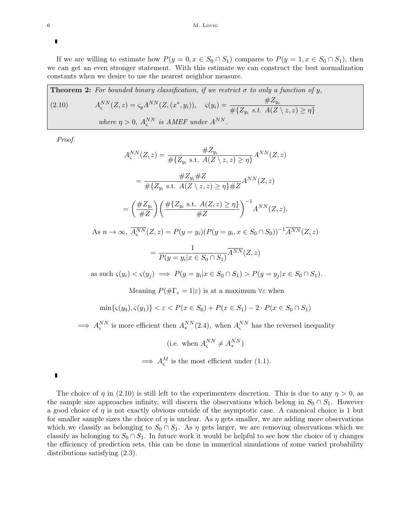If we are willing to estimate how  $P(y = 0, x \in S_0 \cap S_1)$  compares to  $P(y = 1, x \in S_0 \cap S_1)$ , then we can get an even stronger statement. With this estimate we can construct the best normalization constants when we desire to use the nearest neighbor measure.

**Theorem 2:** For bounded binary classification, if we restrict  $\sigma$  to only a function of y,  $(2.10)$  $\zeta^{NN}(Z,z) = \zeta_y A^{NN}(Z,(x^*,y_i)), \quad \zeta(y_i) = \frac{\#Z_{y_i}}{\#YZ}$  $\#\{Z_{y_i} \text{ s.t. } A(Z \setminus z, z) \geq \eta\}$ where  $\eta > 0$ ,  $A_{\varsigma}^{NN}$  is AMEF under  $A^{NN}$ .

Proof.

 $As$ 

$$
A_{\varsigma}^{NN}(Z, z) = \frac{\#Z_{y_i}}{\# \{Z_{y_i} \text{ s.t. } A(Z \setminus z, z) \ge \eta\}} A^{NN}(Z, z)
$$
  
= 
$$
\frac{\#Z_{y_i} \# Z}{\# \{Z_{y_i} \text{ s.t. } A(Z \setminus z, z) \ge \eta\} \# Z} A^{NN}(Z, z)
$$
  
= 
$$
\left(\frac{\#Z_{y_i}}{\# Z}\right) \left(\frac{\# \{Z_{y_i} \text{ s.t. } A(Z, z) \ge \eta\}}{\# Z}\right)^{-1} A^{NN}(Z, z).
$$
  

$$
n \to \infty, \overline{A_{\varsigma}^{NN}}(Z, z) = P(y = y_i)(P(y = y_i, x \in S_0 \cap S_0))^{-1} \overline{A^{NN}}(Z, z)
$$

$$
= \frac{1}{P(y = y_i | x \in S_0 \cap S_1)} \overline{A^{NN}}(Z, z)
$$

=

as such  $\varsigma(y_i) < \varsigma(y_j) \implies P(y = y_i | x \in S_0 \cap S_1) > P(y = y_j | x \in S_0 \cap S_1).$ 

Meaning  $P(\#\Gamma_{\varepsilon}=1|\varepsilon)$  is at a maximum  $\forall \varepsilon$  when

$$
\min\{\varsigma(y_0), \varsigma(y_1)\} < \varepsilon < P(x \in S_0) + P(x \in S_1) - 2 \cdot P(x \in S_0 \cap S_1)
$$

 $\implies A_{\varsigma}^{NN}$  is more efficient then  $A_{*}^{NN}(2.4)$ , when  $A_{\varsigma}^{NN}$  has the reversed inequality

(i.e. when  $A_{\varsigma}^{NN} \neq A_{*}^{NN}$ )

 $\implies A_{\varsigma}^M$  is the most efficient under (1.1).

The choice of  $\eta$  in (2.10) is still left to the experimenters discretion. This is due to any  $\eta > 0$ , as the sample size approaches infinity, will discern the observations which belong in  $S_0 \cap S_1$ . However a good choice of  $\eta$  is not exactly obvious outside of the asymptotic case. A canonical choice is 1 but for smaller sample sizes the choice of  $\eta$  is unclear. As  $\eta$  gets smaller, we are adding more observations which we classify as belonging to  $S_0 \cap S_1$ . As  $\eta$  gets larger, we are removing observations which we classify as belonging to  $S_0 \cap S_1$ . In future work it would be helpful to see how the choice of  $\eta$  changes the efficiency of prediction sets, this can be done in numerical simulations of some varied probability distributions satisfying (2.3).

 $\blacksquare$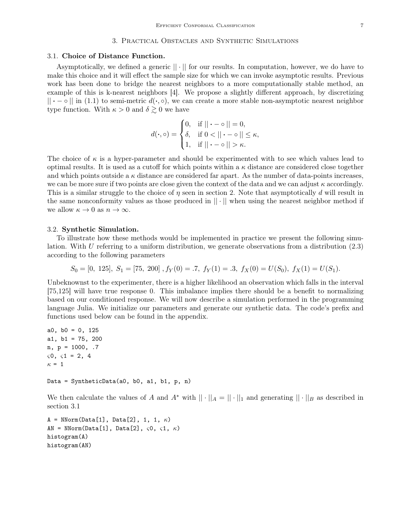#### 3. Practical Obstacles and Synthetic Simulations

#### 3.1. Choice of Distance Function.

Asymptotically, we defined a generic || · || for our results. In computation, however, we do have to make this choice and it will effect the sample size for which we can invoke asymptotic results. Previous work has been done to bridge the nearest neighbors to a more computationally stable method, an example of this is k-nearest neighbors [4]. We propose a slightly different approach, by discretizing  $|| \cdot - \circ ||$  in (1.1) to semi-metric  $d(\cdot, \circ)$ , we can create a more stable non-asymptotic nearest neighbor type function. With  $\kappa > 0$  and  $\delta \gtrsim 0$  we have

$$
d(\cdot, \circ) = \begin{cases} 0, & \text{if } || \cdot - \circ || = 0, \\ \delta, & \text{if } 0 < || \cdot - \circ || \leq \kappa, \\ 1, & \text{if } || \cdot - \circ || > \kappa. \end{cases}
$$

The choice of  $\kappa$  is a hyper-parameter and should be experimented with to see which values lead to optimal results. It is used as a cutoff for which points within a  $\kappa$  distance are considered close together and which points outside a  $\kappa$  distance are considered far apart. As the number of data-points increases, we can be more sure if two points are close given the context of the data and we can adjust  $\kappa$  accordingly. This is a similar struggle to the choice of  $\eta$  seen in section 2. Note that asymptotically d will result in the same nonconformity values as those produced in  $\|\cdot\|$  when using the nearest neighbor method if we allow  $\kappa \to 0$  as  $n \to \infty$ .

#### 3.2. Synthetic Simulation.

To illustrate how these methods would be implemented in practice we present the following simulation. With U referring to a uniform distribution, we generate observations from a distribution  $(2.3)$ according to the following parameters

$$
S_0 = [0, 125], S_1 = [75, 200], f_Y(0) = .7, f_Y(1) = .3, f_X(0) = U(S_0), f_X(1) = U(S_1).
$$

Unbeknownst to the experimenter, there is a higher likelihood an observation which falls in the interval [75,125] will have true response 0. This imbalance implies there should be a benefit to normalizing based on our conditioned response. We will now describe a simulation performed in the programming language Julia. We initialize our parameters and generate our synthetic data. The code's prefix and functions used below can be found in the appendix.

```
a0, b0 = 0, 125
a1, b1 = 75, 200
n, p = 1000, .7\zeta 0, \zeta 1 = 2, 4\kappa = 1Data = SyntheticData(a0, b0, a1, b1, p, n)
```
We then calculate the values of A and A<sup>∗</sup> with  $\|\cdot\|_A = \|\cdot\|_1$  and generating  $\|\cdot\|_B$  as described in section 3.1

```
A = NNorm(Data[1], Data[2], 1, 1, \kappa)AN = NNorm(Data[1], Data[2], \varsigma0, \varsigma1, \kappa)
histogram(A)
histogram(AN)
```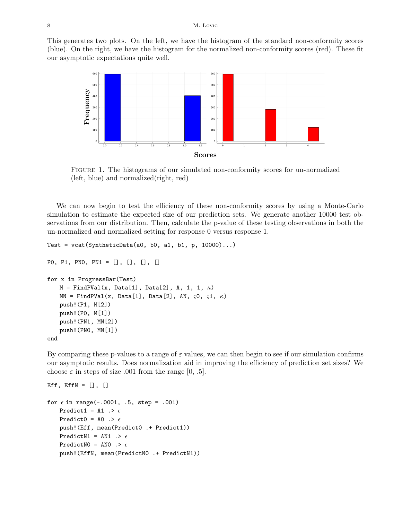This generates two plots. On the left, we have the histogram of the standard non-conformity scores (blue). On the right, we have the histogram for the normalized non-conformity scores (red). These fit our asymptotic expectations quite well.



Figure 1. The histograms of our simulated non-conformity scores for un-normalized (left, blue) and normalized(right, red)

We can now begin to test the efficiency of these non-conformity scores by using a Monte-Carlo simulation to estimate the expected size of our prediction sets. We generate another 10000 test observations from our distribution. Then, calculate the p-value of these testing observations in both the un-normalized and normalized setting for response 0 versus response 1.

```
Test = vcat(SyntheticData(a0, b0, a1, b1, p, 10000)...)P0, P1, PN0, PN1 = [], [], [], []
for x in ProgressBar(Test)
   M = FindPVal(x, Data[1], Data[2], A, 1, 1, \kappa)MN = FindPVal(x, Data[1], Data[2], AN, \zeta0, \zeta1, \kappa)push!(P1, M[2])
   push!(P0, M[1])
   push!(PN1, MN[2])
   push!(PN0, MN[1])
end
```
By comparing these p-values to a range of  $\varepsilon$  values, we can then begin to see if our simulation confirms our asymptotic results. Does normalization aid in improving the efficiency of prediction set sizes? We choose  $\varepsilon$  in steps of size .001 from the range [0, .5].

```
Eff, EffN = [], []for \epsilon in range(-.0001, .5, step = .001)
    Predict1 = A1 .> \epsilonPredict0 = A0 .> \epsilonpush!(Eff, mean(Predict0 .+ Predict1))
    PredictN1 = AN1 \rightarrow \epsilonPredictNO = ANO \rightarrow \epsilonpush!(EffN, mean(PredictN0 .+ PredictN1))
```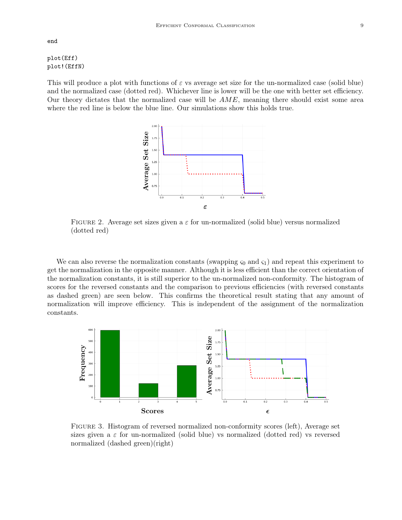## plot(Eff) plot!(EffN)

This will produce a plot with functions of  $\varepsilon$  vs average set size for the un-normalized case (solid blue) and the normalized case (dotted red). Whichever line is lower will be the one with better set efficiency. Our theory dictates that the normalized case will be  $AME$ , meaning there should exist some area where the red line is below the blue line. Our simulations show this holds true.



FIGURE 2. Average set sizes given a  $\varepsilon$  for un-normalized (solid blue) versus normalized (dotted red)

We can also reverse the normalization constants (swapping  $\varsigma_0$  and  $\varsigma_1$ ) and repeat this experiment to get the normalization in the opposite manner. Although it is less efficient than the correct orientation of the normalization constants, it is still superior to the un-normalized non-conformity. The histogram of scores for the reversed constants and the comparison to previous efficiencies (with reversed constants as dashed green) are seen below. This confirms the theoretical result stating that any amount of normalization will improve efficiency. This is independent of the assignment of the normalization constants.



Figure 3. Histogram of reversed normalized non-conformity scores (left), Average set sizes given a  $\varepsilon$  for un-normalized (solid blue) vs normalized (dotted red) vs reversed normalized (dashed green)(right)

end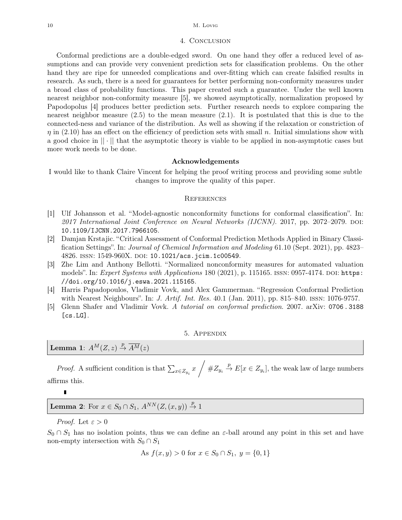#### 10 M. Lovig

#### 4. Conclusion

Conformal predictions are a double-edged sword. On one hand they offer a reduced level of assumptions and can provide very convenient prediction sets for classification problems. On the other hand they are ripe for unneeded complications and over-fitting which can create falsified results in research. As such, there is a need for guarantees for better performing non-conformity measures under a broad class of probability functions. This paper created such a guarantee. Under the well known nearest neighbor non-conformity measure [5], we showed asymptotically, normalization proposed by Papodopolus [4] produces better prediction sets. Further research needs to explore comparing the nearest neighbor measure (2.5) to the mean measure (2.1). It is postulated that this is due to the connected-ness and variance of the distribution. As well as showing if the relaxation or constriction of  $\eta$  in (2.10) has an effect on the efficiency of prediction sets with small n. Initial simulations show with a good choice in  $|| \cdot ||$  that the asymptotic theory is viable to be applied in non-asymptotic cases but more work needs to be done.

#### Acknowledgements

I would like to thank Claire Vincent for helping the proof writing process and providing some subtle changes to improve the quality of this paper.

#### **REFERENCES**

- [1] Ulf Johansson et al. "Model-agnostic nonconformity functions for conformal classification". In:  $2017$  International Joint Conference on Neural Networks (IJCNN). 2017, pp. 2072–2079. DOI: 10.1109/IJCNN.2017.7966105.
- [2] Damjan Krstajic. "Critical Assessment of Conformal Prediction Methods Applied in Binary Classification Settings". In: Journal of Chemical Information and Modeling 61.10 (Sept. 2021), pp. 4823– 4826. ISSN: 1549-960X. DOI: 10.1021/acs.jcim.1c00549.
- [3] Zhe Lim and Anthony Bellotti. "Normalized nonconformity measures for automated valuation models". In: Expert Systems with Applications 180 (2021), p. 115165. ISSN: 0957-4174. DOI: https: //doi.org/10.1016/j.eswa.2021.115165.
- [4] Harris Papadopoulos, Vladimir Vovk, and Alex Gammerman. "Regression Conformal Prediction with Nearest Neighbours". In: *J. Artif. Int. Res.* 40.1 (Jan. 2011), pp. 815–840. ISSN: 1076-9757.
- [5] Glenn Shafer and Vladimir Vovk. A tutorial on conformal prediction. 2007. arXiv: 0706 . 3188 [cs.LG].

#### 5. Appendix

Lemma 1:  $A^M(Z, z) \stackrel{p}{\rightarrow} \overline{A^M}(z)$ 

*Proof.* A sufficient condition is that  $\sum_{x \in Z_{y_i}} x \neq Z_{y_i} \stackrel{p}{\to} E[x \in Z_{y_i}]$ , the weak law of large numbers affirms this.

## **Lemma 2:** For  $x \in S_0 \cap S_1$ ,  $A^{NN}(Z,(x,y)) \stackrel{p}{\rightarrow} 1$

Proof. Let  $\varepsilon > 0$ 

 $\blacksquare$ 

 $S_0 \cap S_1$  has no isolation points, thus we can define an  $\varepsilon$ -ball around any point in this set and have non-empty intersection with  $S_0 \cap S_1$ 

As 
$$
f(x, y) > 0
$$
 for  $x \in S_0 \cap S_1$ ,  $y = \{0, 1\}$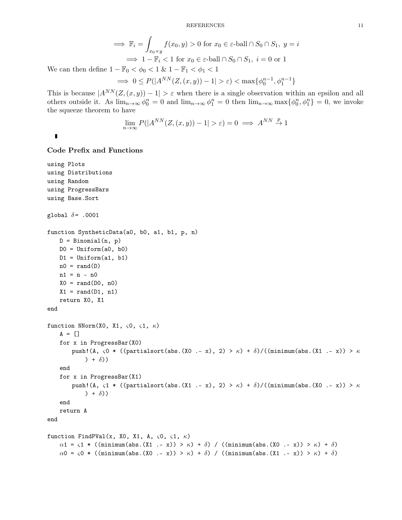REFERENCES 11

$$
\implies \mathbb{F}_i = \int_{x_0 \times y} f(x_0, y) > 0 \text{ for } x_0 \in \varepsilon\text{-ball} \cap S_0 \cap S_1, \ y = i
$$
\n
$$
\implies 1 - \mathbb{F}_i < 1 \text{ for } x_0 \in \varepsilon\text{-ball} \cap S_0 \cap S_1, \ i = 0 \text{ or } 1
$$

We can then define  $1 - \mathbb{F}_0 < \phi_0 < 1$  &  $1 - \mathbb{F}_1 < \phi_1 < 1$ 

$$
\implies 0 \le P(|A^{NN}(Z,(x,y))-1| > \varepsilon) < \max\{\phi_0^{n-1}, \phi_1^{n-1}\}\
$$

This is because  $|A^{NN}(Z,(x,y))-1| > \varepsilon$  when there is a single observation within an epsilon and all others outside it. As  $\lim_{n\to\infty}\phi_0^n=0$  and  $\lim_{n\to\infty}\phi_1^n=0$  then  $\lim_{n\to\infty}\max\{\phi_0^n,\phi_1^n\}=0$ , we invoke the squeeze theorem to have

$$
\lim_{n \to \infty} P(|A^{NN}(Z,(x,y)) - 1| > \varepsilon) = 0 \implies A^{NN} \overset{p}{\to} 1
$$

#### Code Prefix and Functions

```
using Plots
using Distributions
using Random
using ProgressBars
using Base.Sort
global \delta = .0001
function SyntheticData(a0, b0, a1, b1, p, n)
    D = Binomial(n, p)D0 = Uniform(a0, b0)D1 = Uniform(a1, b1)n0 = rand(D)n1 = n - n0
    X0 = \text{rand}(D0, n0)X1 = rand(D1, n1)return X0, X1
end
function NNorm(X0, X1, \varsigma0, \varsigma1, \kappa)
    A = []for x in ProgressBar(X0)
        push!(A, \varsigma0 * ((partialsort(abs.(X0 .- x), 2) > \kappa) + \delta)/((minimum(abs.(X1 .- x)) > \kappa) + \delta)
    end
    for x in ProgressBar(X1)
        push!(A, \zeta1 * ((partialsort(abs.(X1 .- x), 2) > \kappa) + \delta)/((minimum(abs.(X0 .- x)) > \kappa) + \delta))
    end
    return A
end
function FindPVal(x, X0, X1, A, \varsigma0, \varsigma1, \kappa)
    \alpha1 = \varsigma1 * ((minimum(abs.(X1 .- x)) > \kappa) + \delta) / ((minimum(abs.(X0 .- x)) > \kappa) + \delta)
    \alpha0 = \varsigma0 * ((minimum(abs.(X0 .- x)) > \kappa) + δ) / ((minimum(abs.(X1 .- x)) > \kappa) + δ)
```